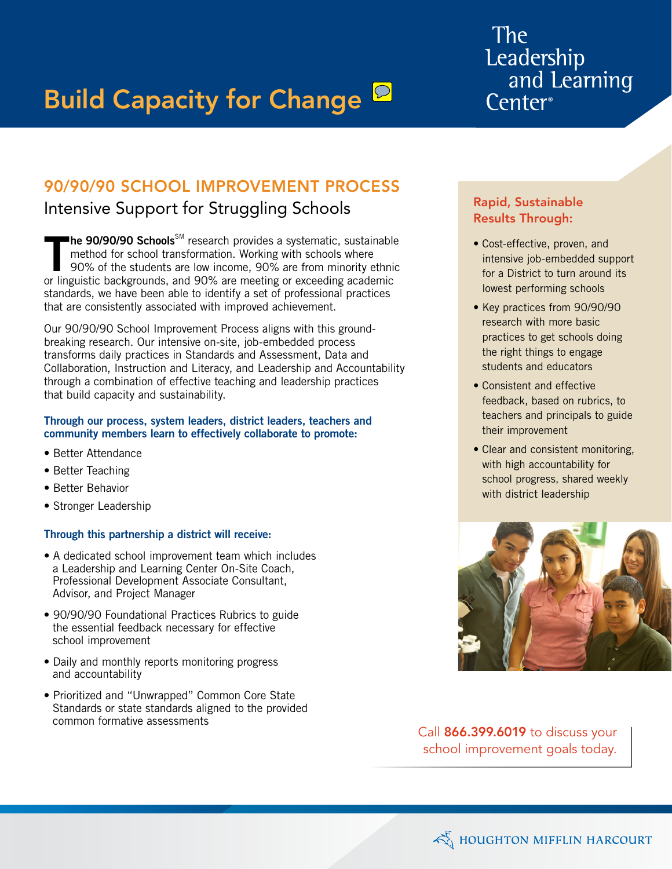# **Build Capacity for Change P**

# The Leadership and Learning Center<sup>®</sup>

# 90/90/90 School Improvement Process

# Intensive Support for Struggling Schools

**The 90/90/90 Schools** $^{\text{\tiny{SM}}}$  research provides a systematic, sustainable method for school transformation. Working with schools where 90% of the students are low income, 90% are from minority ethnic or linguistic backgrounds, and 90% are meeting or exceeding academic standards, we have been able to identify a set of professional practices that are consistently associated with improved achievement.

Our 90/90/90 School Improvement Process aligns with this groundbreaking research. Our intensive on-site, job-embedded process transforms daily practices in Standards and Assessment, Data and Collaboration, Instruction and Literacy, and Leadership and Accountability through a combination of effective teaching and leadership practices that build capacity and sustainability.

#### Through our process, system leaders, district leaders, teachers and community members learn to effectively collaborate to promote:

- Better Attendance
- Better Teaching
- Better Behavior
- Stronger Leadership

#### Through this partnership a district will receive:

- A dedicated school improvement team which includes a Leadership and Learning Center On-Site Coach, Professional Development Associate Consultant, Advisor, and Project Manager
- 90/90/90 Foundational Practices Rubrics to guide the essential feedback necessary for effective school improvement
- Daily and monthly reports monitoring progress and accountability
- Prioritized and "Unwrapped" Common Core State Standards or state standards aligned to the provided common formative assessments

### Rapid, Sustainable Results Through:

- Cost-effective, proven, and intensive job-embedded support for a District to turn around its lowest performing schools
- Key practices from 90/90/90 research with more basic practices to get schools doing the right things to engage students and educators
- Consistent and effective feedback, based on rubrics, to teachers and principals to guide their improvement
- Clear and consistent monitoring, with high accountability for school progress, shared weekly with district leadership



Call 866.399.6019 to discuss your school improvement goals today.